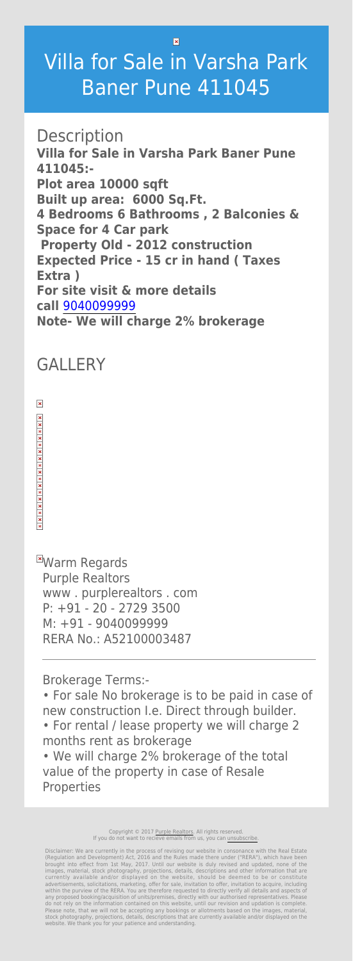$\vert \mathbf{x} \vert$ 

## Villa for Sale in Varsha Park Baner Pune 411045

**Description Villa for Sale in Varsha Park Baner Pune 411045:- Plot area 10000 sqft Built up area: 6000 Sq.Ft. 4 Bedrooms 6 Bathrooms , 2 Balconies & Space for 4 Car park Property Old - 2012 construction Expected Price - 15 cr in hand ( Taxes Extra ) For site visit & more details call** [9040099999](#page--1-0) **Note- We will charge 2% brokerage**

## **GALLERY**

 $\pmb{\times}$  $x x | x | x | x | x | x | x | x | x | x | x | x$ 

**EWarm Regards** Purple Realtors www . purplerealtors . com P: +91 - 20 - 2729 3500 M: +91 - 9040099999 RERA No.: A52100003487

Brokerage Terms:-

• For sale No brokerage is to be paid in case of new construction I.e. Direct through builder. • For rental / lease property we will charge 2

months rent as brokerage

• We will charge 2% brokerage of the total value of the property in case of Resale Properties

> Copyright © 2017 [Purple Realtors](https://purplerealtors.in/). All rights reserved. If you do not want to recieve emails from us, you can [unsubscribe.](#page--1-0)

Disclaimer: We are currently in the process of revising our website in consonance with the Real Estate (Regulation and Development) Act, 2016 and the Rules made there under ("RERA"), which have been brought into effect from 1st May, 2017. Until our website is duly revised and updated, none of the images, material, stock photography, projections, details, descriptions and other information that are currently available and/or displayed on the website, should be deemed to be or constitute advertisements, solicitations, marketing, offer for sale, invitation to offer, invitation to acquire, including within the purview of the RERA. You are therefore requested to directly verify all details and aspects of any proposed booking/acquisition of units/premises, directly with our authorised representatives. Please do not rely on the information contained on this website, until our revision and updation is complete. Please note, that we will not be accepting any bookings or allotments based on the images, material, stock photography, projections, details, descriptions that are currently available and/or displayed on the website. We thank you for your patience and understanding.